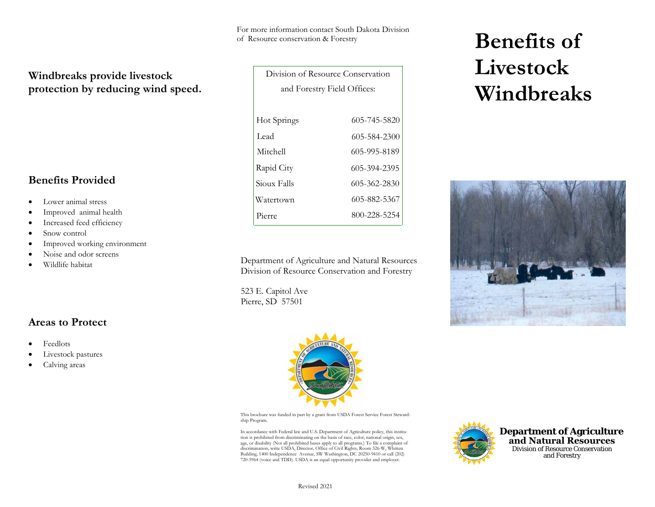For more information contact South Dakota Division of Resource conservation & Forestry

# **Windbreaks provide livestock protection by reducing wind speed.**

### **Benefits Provided**

- •Lower animal stress
- •Improved animal health
- •Increased feed efficiency
- •Snow control
- •Improved working environment
- •Noise and odor screens
- •Wildlife habitat

## **Areas to Protect**

- •Feedlots
- •Livestock pastures
- •Calving areas

| Division of Resource Conservation |              |
|-----------------------------------|--------------|
| and Forestry Field Offices:       |              |
|                                   |              |
| Hot Springs                       | 605-745-5820 |
| Lead                              | 605-584-2300 |
| Mitchell                          | 605-995-8189 |
| Rapid City                        | 605-394-2395 |
| Sioux Falls                       | 605-362-2830 |
| Watertown                         | 605-882-5367 |
| Pierre                            | 800-228-5254 |

Department <sup>o</sup>f Agriculture and Natural ResourcesDivision of Resource Conservation and Forestry

523 E. Capitol Ave Pierre, SD 57501







This brochure was funded in part by a grant from USDA Forest Service Forest Stewardship Program.

In accordance with Federal law and U.S. Department of Agriculture policy, this institution is prohibited from discriminating on the basis of race, color, national origin, sex, age, or disability (Not all prohibited bases apply to all programs.) To file a complaint of discrimination, write USDA, Director, Office of Civil Rights, Room 326-W, Whitten Building, 1400 Independence Avenue, SW Washington, DC 20250-9410 or call (202) 720-5964 (voice and TDD). USDA is an equal opportunity provider and employer.